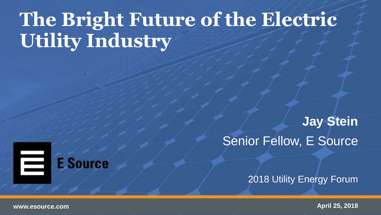## **The Bright Future of the Electric Utility Industry**

#### **Jay Stein** Senior Fellow, E Source



**www.esource.com**

E Source

**April 25, 2018**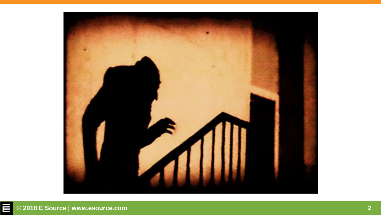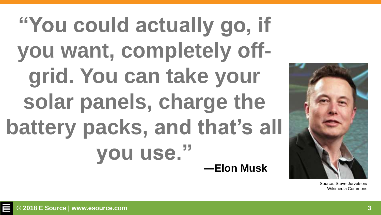# **"You could actually go, if you want, completely offgrid. You can take your solar panels, charge the battery packs, and that's all you use." —Elon Musk**



Source: Steve Jurvetson/ Wikimedia Commons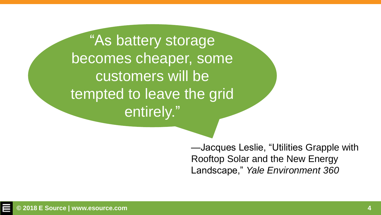"As battery storage becomes cheaper, some customers will be tempted to leave the grid entirely."

> —Jacques Leslie, "Utilities Grapple with Rooftop Solar and the New Energy Landscape," *Yale Environment 360*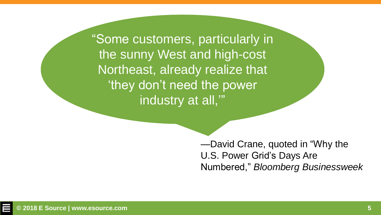"Some customers, particularly in the sunny West and high-cost Northeast, already realize that 'they don't need the power industry at all,'"

> —David Crane, quoted in "Why the U.S. Power Grid's Days Are Numbered," *Bloomberg Businessweek*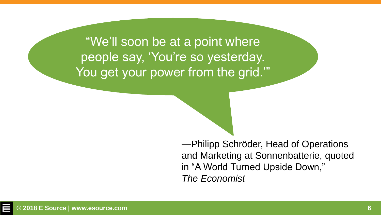"We'll soon be at a point where people say, 'You're so yesterday. You get your power from the grid."

> —Philipp Schröder, Head of Operations and Marketing at Sonnenbatterie, quoted in "A World Turned Upside Down," *The Economist*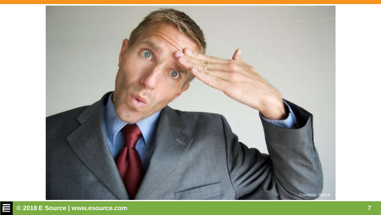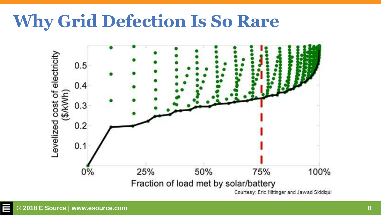#### **Why Grid Defection Is So Rare**

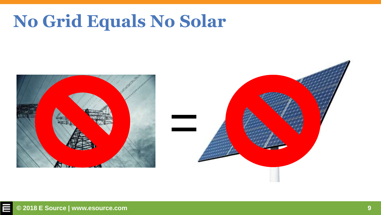#### **No Grid Equals No Solar**



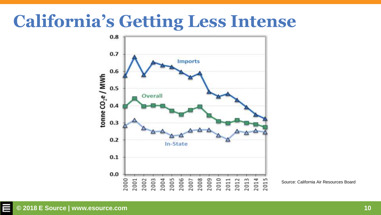#### **California's Getting Less Intense**



Source: California Air Resources Board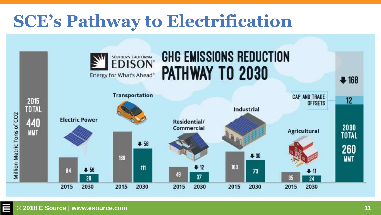#### **SCE's Pathway to Electrification**

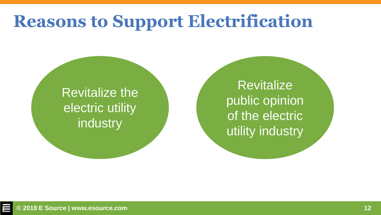#### **Reasons to Support Electrification**

**Revitalize the** electric utility industry

**Revitalize** public opinion of the electric utility industry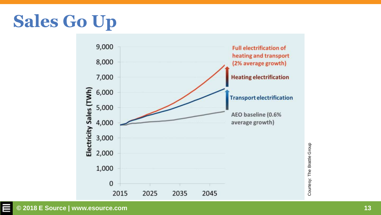#### **Sales Go Up**



Courtesy: The Brattle Group Courtesy: The Brattle Group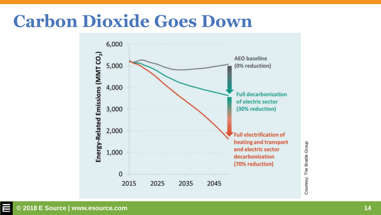#### **Carbon Dioxide Goes Down**



Courtesy: The Brattle Group Courtesy: The Brattle Group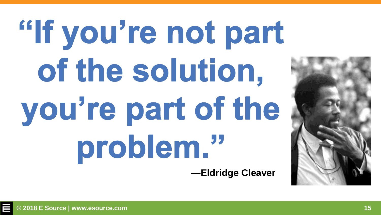# "If you're not part of the solution, you're part of the problem." -Eldridge Cleaver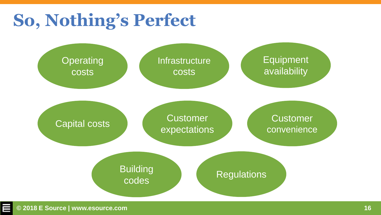#### **So, Nothing's Perfect**

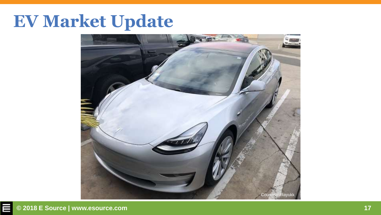#### **EV Market Update**

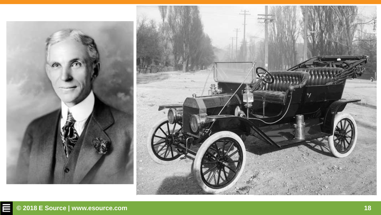

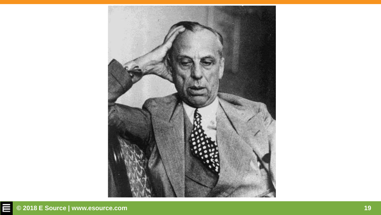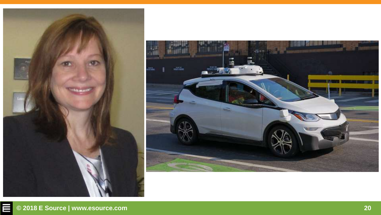

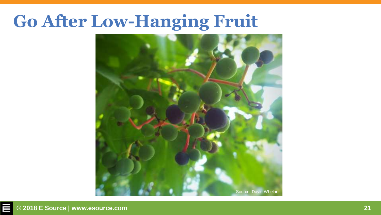#### **Go After Low-Hanging Fruit**



**© 2018 E Source | www.esource.com 21** E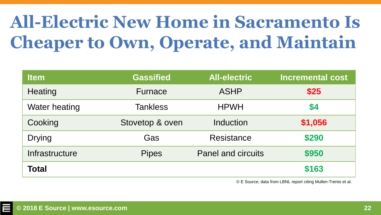### **All-Electric New Home in Sacramento Is Cheaper to Own, Operate, and Maintain**

| <b>Item</b>    | Gassified       | <b>All-electric</b>       | <b>Incremental cost</b> |
|----------------|-----------------|---------------------------|-------------------------|
| Heating        | <b>Furnace</b>  | <b>ASHP</b>               | \$25                    |
| Water heating  | Tankless        | <b>HPWH</b>               | \$4                     |
| Cooking        | Stovetop & oven | Induction                 | \$1,056                 |
| <b>Drying</b>  | Gas             | Resistance                | \$290                   |
| Infrastructure | <b>Pipes</b>    | <b>Panel and circuits</b> | \$950                   |
| <b>Total</b>   |                 |                           | \$163                   |

© E Source; data from LBNL report citing Mullen-Trento et al.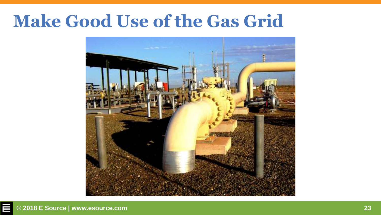#### **Make Good Use of the Gas Grid**

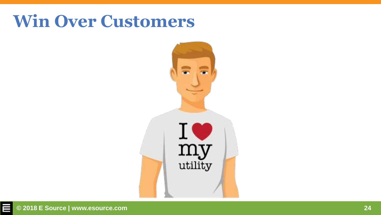#### **Win Over Customers**

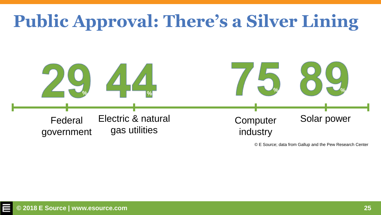

© E Source; data from Gallup and the Pew Research Center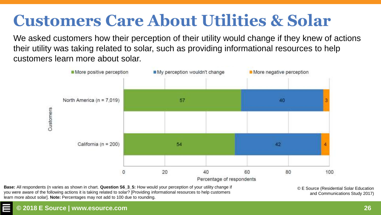#### **Customers Care About Utilities & Solar**

We asked customers how their perception of their utility would change if they knew of actions their utility was taking related to solar, such as providing informational resources to help customers learn more about solar.



**Base:** All respondents (n varies as shown in chart. **Question S6\_3\_5:** How would your perception of your utility change if you were aware of the following actions it is taking related to solar? [Providing informational resources to help customers learn more about solar]. **Note:** Percentages may not add to 100 due to rounding.

© E Source (Residential Solar Education and Communications Study 2017)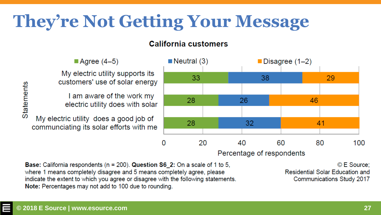#### **They're Not Getting Your Message**

#### **California customers**



**Base:** California respondents ( $n = 200$ ). Question S6\_2: On a scale of 1 to 5, where 1 means completely disagree and 5 means completely agree, please indicate the extent to which you agree or disagree with the following statements. Note: Percentages may not add to 100 due to rounding.

© E Source: **Residential Solar Education and** Communications Study 2017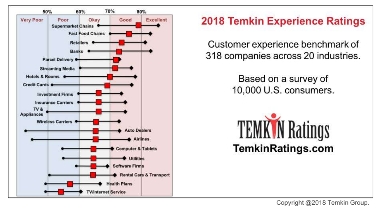

#### **2018 Temkin Experience Ratings**

Customer experience benchmark of 318 companies across 20 industries.

> Based on a survey of 10,000 U.S. consumers.

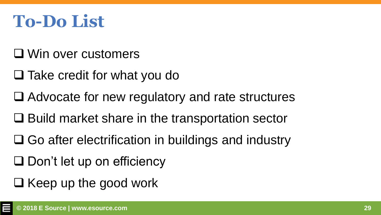#### **To-Do List**

- **Q** Win over customers
- $\Box$  Take credit for what you do
- □ Advocate for new regulatory and rate structures
- $\Box$  Build market share in the transportation sector
- $\square$  Go after electrification in buildings and industry
- $\Box$  Don't let up on efficiency
- $\Box$  Keep up the good work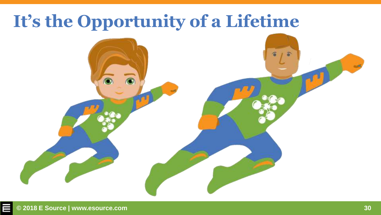#### **It's the Opportunity of a Lifetime**